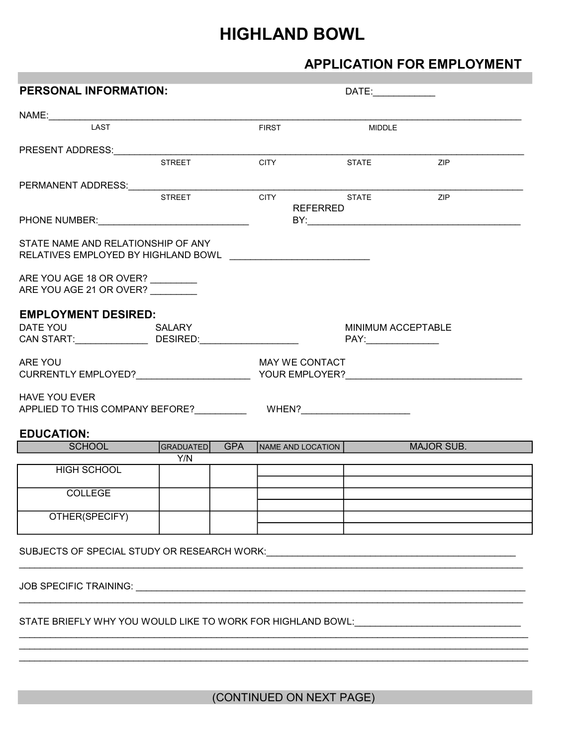# HIGHLAND BOWL

# APPLICATION FOR EMPLOYMENT

| <b>PERSONAL INFORMATION:</b>                                                                                                                                                                                                   |                  |            |              |                   | DATE:______________ |                           |  |
|--------------------------------------------------------------------------------------------------------------------------------------------------------------------------------------------------------------------------------|------------------|------------|--------------|-------------------|---------------------|---------------------------|--|
|                                                                                                                                                                                                                                |                  |            |              |                   |                     |                           |  |
| LAST                                                                                                                                                                                                                           |                  |            | <b>FIRST</b> |                   | <b>MIDDLE</b>       |                           |  |
|                                                                                                                                                                                                                                |                  |            |              |                   |                     |                           |  |
| PRESENT ADDRESS: The contract of the contract of the contract of the contract of the contract of the contract of the contract of the contract of the contract of the contract of the contract of the contract of the contract  | <b>STREET</b>    |            | <b>CITY</b>  |                   | <b>STATE</b>        | ZIP                       |  |
|                                                                                                                                                                                                                                |                  |            |              |                   |                     |                           |  |
| PERMANENT ADDRESS: PERMANENT ADDRESS:                                                                                                                                                                                          |                  |            |              |                   |                     |                           |  |
|                                                                                                                                                                                                                                | <b>STREET</b>    |            | <b>CITY</b>  |                   | <b>STATE</b>        | ZIP                       |  |
| PHONE NUMBER: CONSUMING THE RESIDENCE OF A SALE AND THE RESIDENCE OF A SALE AND THE RESIDENCE OF A SALE AND THE RESIDENCE OF A SALE AND THE RESIDENCE OF A SALE AND THE RESIDENCE OF A SALE AND THE RESIDENCE OF A SALE AND TH |                  |            |              | REFERRED          |                     |                           |  |
|                                                                                                                                                                                                                                |                  |            |              |                   |                     |                           |  |
| STATE NAME AND RELATIONSHIP OF ANY                                                                                                                                                                                             |                  |            |              |                   |                     |                           |  |
| RELATIVES EMPLOYED BY HIGHLAND BOWL [1997] [1998] [1998] [1998] [1999] [1999] [1999] [1999] [1999] [1999] [199                                                                                                                 |                  |            |              |                   |                     |                           |  |
| ARE YOU AGE 18 OR OVER?                                                                                                                                                                                                        |                  |            |              |                   |                     |                           |  |
| ARE YOU AGE 21 OR OVER?                                                                                                                                                                                                        |                  |            |              |                   |                     |                           |  |
|                                                                                                                                                                                                                                |                  |            |              |                   |                     |                           |  |
| <b>EMPLOYMENT DESIRED:</b>                                                                                                                                                                                                     |                  |            |              |                   |                     |                           |  |
| DATE YOU DATE TO A STATE OF THE STATE OF THE STATE OF THE STATE OF THE STATE OF THE STATE OF THE STATE OF THE                                                                                                                  | SALARY           |            |              |                   |                     | <b>MINIMUM ACCEPTABLE</b> |  |
| CAN START:___________________________DESIRED:___________________________________                                                                                                                                               |                  |            |              |                   |                     |                           |  |
|                                                                                                                                                                                                                                |                  |            |              |                   |                     |                           |  |
| ARE YOU                                                                                                                                                                                                                        |                  |            |              | MAY WE CONTACT    |                     |                           |  |
|                                                                                                                                                                                                                                |                  |            |              |                   |                     |                           |  |
| <b>HAVE YOU EVER</b>                                                                                                                                                                                                           |                  |            |              |                   |                     |                           |  |
| APPLIED TO THIS COMPANY BEFORE? WHEN? WHEN?                                                                                                                                                                                    |                  |            |              |                   |                     |                           |  |
|                                                                                                                                                                                                                                |                  |            |              |                   |                     |                           |  |
| <b>EDUCATION:</b>                                                                                                                                                                                                              |                  | <b>GPA</b> |              |                   |                     |                           |  |
| <b>SCHOOL</b>                                                                                                                                                                                                                  | GRADUATED<br>Y/N |            |              | NAME AND LOCATION |                     | <b>MAJOR SUB.</b>         |  |
| <b>HIGH SCHOOL</b>                                                                                                                                                                                                             |                  |            |              |                   |                     |                           |  |
|                                                                                                                                                                                                                                |                  |            |              |                   |                     |                           |  |
| <b>COLLEGE</b>                                                                                                                                                                                                                 |                  |            |              |                   |                     |                           |  |
|                                                                                                                                                                                                                                |                  |            |              |                   |                     |                           |  |
| OTHER(SPECIFY)                                                                                                                                                                                                                 |                  |            |              |                   |                     |                           |  |
|                                                                                                                                                                                                                                |                  |            |              |                   |                     |                           |  |
|                                                                                                                                                                                                                                |                  |            |              |                   |                     |                           |  |
|                                                                                                                                                                                                                                |                  |            |              |                   |                     |                           |  |
|                                                                                                                                                                                                                                |                  |            |              |                   |                     |                           |  |
| JOB SPECIFIC TRAINING: University of the SPECIFIC TRAINING:                                                                                                                                                                    |                  |            |              |                   |                     |                           |  |
|                                                                                                                                                                                                                                |                  |            |              |                   |                     |                           |  |
| STATE BRIEFLY WHY YOU WOULD LIKE TO WORK FOR HIGHLAND BOWL: CONDITIONAL CONDITIONAL CONDITION                                                                                                                                  |                  |            |              |                   |                     |                           |  |
|                                                                                                                                                                                                                                |                  |            |              |                   |                     |                           |  |
|                                                                                                                                                                                                                                |                  |            |              |                   |                     |                           |  |

(CONTINUED ON NEXT PAGE)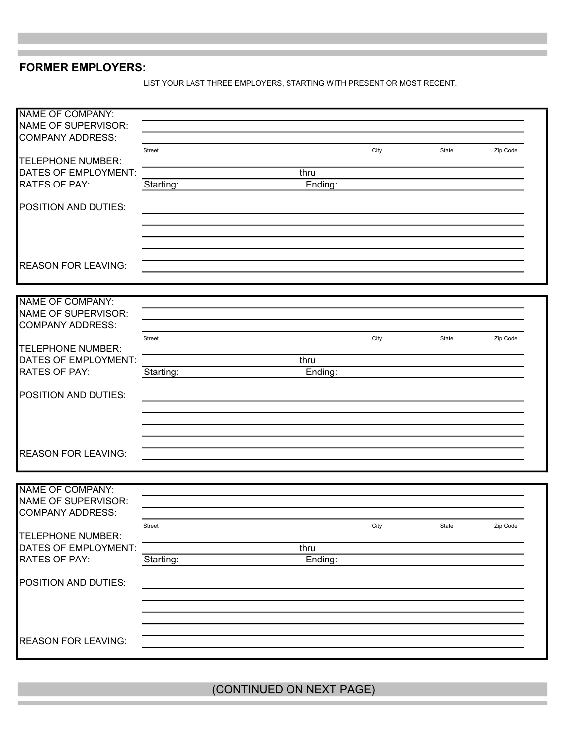## FORMER EMPLOYERS:

LIST YOUR LAST THREE EMPLOYERS, STARTING WITH PRESENT OR MOST RECENT.

| <b>NAME OF COMPANY:</b>                          |           |         |      |       |          |
|--------------------------------------------------|-----------|---------|------|-------|----------|
| NAME OF SUPERVISOR:                              |           |         |      |       |          |
| <b>COMPANY ADDRESS:</b>                          |           |         |      |       |          |
|                                                  | Street    |         | City | State | Zip Code |
| <b>TELEPHONE NUMBER:</b><br>DATES OF EMPLOYMENT: |           | thru    |      |       |          |
| <b>RATES OF PAY:</b>                             | Starting: | Ending: |      |       |          |
|                                                  |           |         |      |       |          |
| POSITION AND DUTIES:                             |           |         |      |       |          |
|                                                  |           |         |      |       |          |
|                                                  |           |         |      |       |          |
|                                                  |           |         |      |       |          |
| <b>REASON FOR LEAVING:</b>                       |           |         |      |       |          |
|                                                  |           |         |      |       |          |
|                                                  |           |         |      |       |          |
| <b>NAME OF COMPANY:</b>                          |           |         |      |       |          |
| NAME OF SUPERVISOR:                              |           |         |      |       |          |
| <b>COMPANY ADDRESS:</b>                          |           |         |      |       |          |
| <b>TELEPHONE NUMBER:</b>                         | Street    |         | City | State | Zip Code |
| DATES OF EMPLOYMENT:                             |           | thru    |      |       |          |
| <b>RATES OF PAY:</b>                             | Starting: | Ending: |      |       |          |
|                                                  |           |         |      |       |          |
| POSITION AND DUTIES:                             |           |         |      |       |          |
|                                                  |           |         |      |       |          |
|                                                  |           |         |      |       |          |
|                                                  |           |         |      |       |          |
|                                                  |           |         |      |       |          |
| <b>REASON FOR LEAVING:</b>                       |           |         |      |       |          |
|                                                  |           |         |      |       |          |
| <b>NAME OF COMPANY:</b>                          |           |         |      |       |          |
| NAME OF SUPERVISOR:                              |           |         |      |       |          |
| <b>COMPANY ADDRESS:</b>                          |           |         |      |       |          |
|                                                  | Street    |         | City | State | Zip Code |
| <b>TELEPHONE NUMBER:</b>                         |           |         |      |       |          |
| DATES OF EMPLOYMENT:                             |           | thru    |      |       |          |
| RATES OF PAY:                                    | Starting: | Ending: |      |       |          |
| POSITION AND DUTIES:                             |           |         |      |       |          |
|                                                  |           |         |      |       |          |
|                                                  |           |         |      |       |          |
|                                                  |           |         |      |       |          |
|                                                  |           |         |      |       |          |
| <b>REASON FOR LEAVING:</b>                       |           |         |      |       |          |
|                                                  |           |         |      |       |          |

(CONTINUED ON NEXT PAGE)